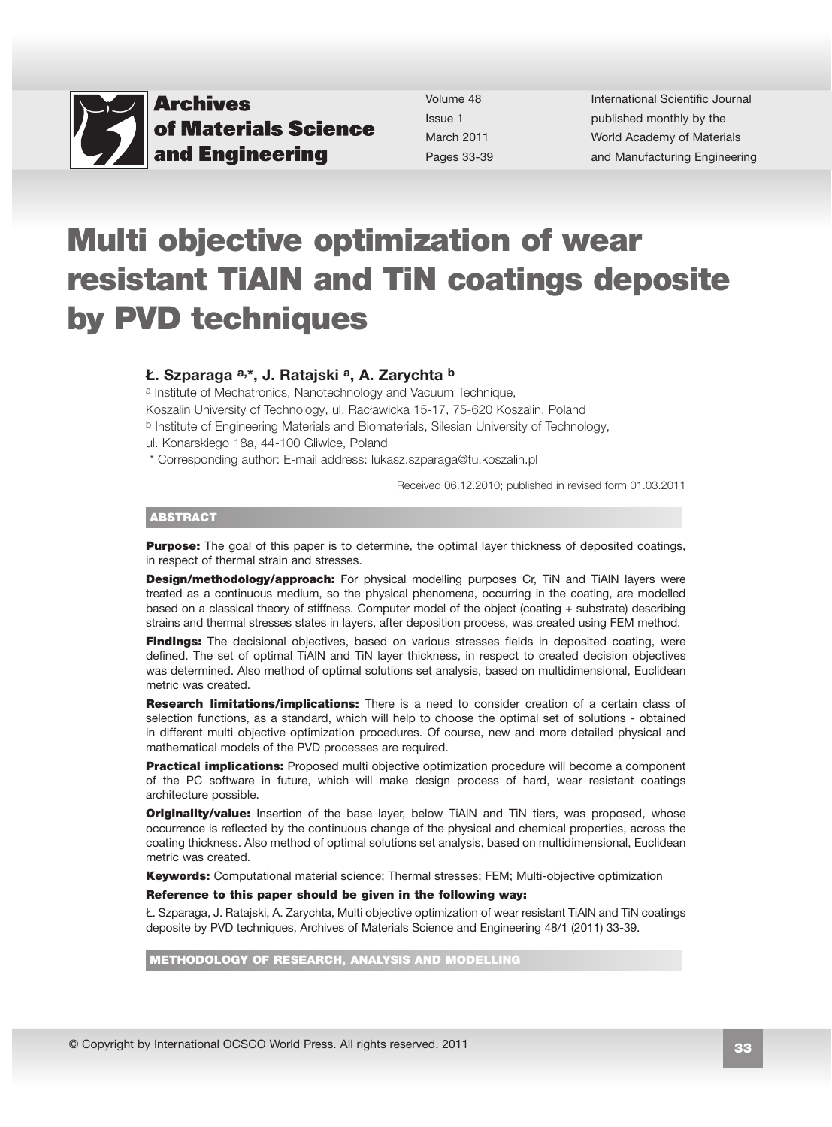

Volume 48 Issue 1 March 2011 Pages 33-39 International Scientific Journal published monthly by the World Academy of Materials [and Manufacturing Engineering](http://www.archivesmse.org) 

# Multi objective optimization of wear resistant TiAlN and TiN coatings deposite by PVD techniques

#### Ł. Szparaga a,\*, J. Ratajski a, A. Zarychta b

a Institute of Mechatronics, Nanotechnology and Vacuum Technique, Koszalin University of Technology, ul. Racławicka 15-17, 75-620 Koszalin, Poland b Institute of Engineering Materials and Biomaterials, Silesian University of Technology, ul. Konarskiego 18a, 44-100 Gliwice, Poland

\* Corresponding author: E-mail address: lukasz.szparaga@tu.koszalin.pl

Received 06.12.2010; published in revised form 01.03.2011

#### ABSTRACT

**Purpose:** The goal of this paper is to determine, the optimal layer thickness of deposited coatings, in respect of thermal strain and stresses.

**Design/methodology/approach:** For physical modelling purposes Cr, TiN and TiAlN layers were treated as a continuous medium, so the physical phenomena, occurring in the coating, are modelled based on a classical theory of stiffness. Computer model of the object (coating + substrate) describing strains and thermal stresses states in layers, after deposition process, was created using FEM method.

**Findings:** The decisional objectives, based on various stresses fields in deposited coating, were defined. The set of optimal TiAlN and TiN layer thickness, in respect to created decision objectives was determined. Also method of optimal solutions set analysis, based on multidimensional, Euclidean metric was created.

**Research limitations/implications:** There is a need to consider creation of a certain class of selection functions, as a standard, which will help to choose the optimal set of solutions - obtained in different multi objective optimization procedures. Of course, new and more detailed physical and mathematical models of the PVD processes are required.

**Practical implications:** Proposed multi objective optimization procedure will become a component of the PC software in future, which will make design process of hard, wear resistant coatings architecture possible.

**Originality/value:** Insertion of the base layer, below TiAIN and TiN tiers, was proposed, whose occurrence is reflected by the continuous change of the physical and chemical properties, across the coating thickness. Also method of optimal solutions set analysis, based on multidimensional, Euclidean metric was created.

**Keywords:** Computational material science; Thermal stresses; FEM; Multi-objective optimization

#### Reference to this paper should be given in the following way:

Ł. Szparaga, J. Ratajski, A. Zarychta, Multi objective optimization of wear resistant TiAlN and TiN coatings deposite by PVD techniques, Archives of Materials Science and Engineering 48/1 (2011) 33-39.

METHODOLOGY OF RESEARCH, ANALYSIS AND MODELLING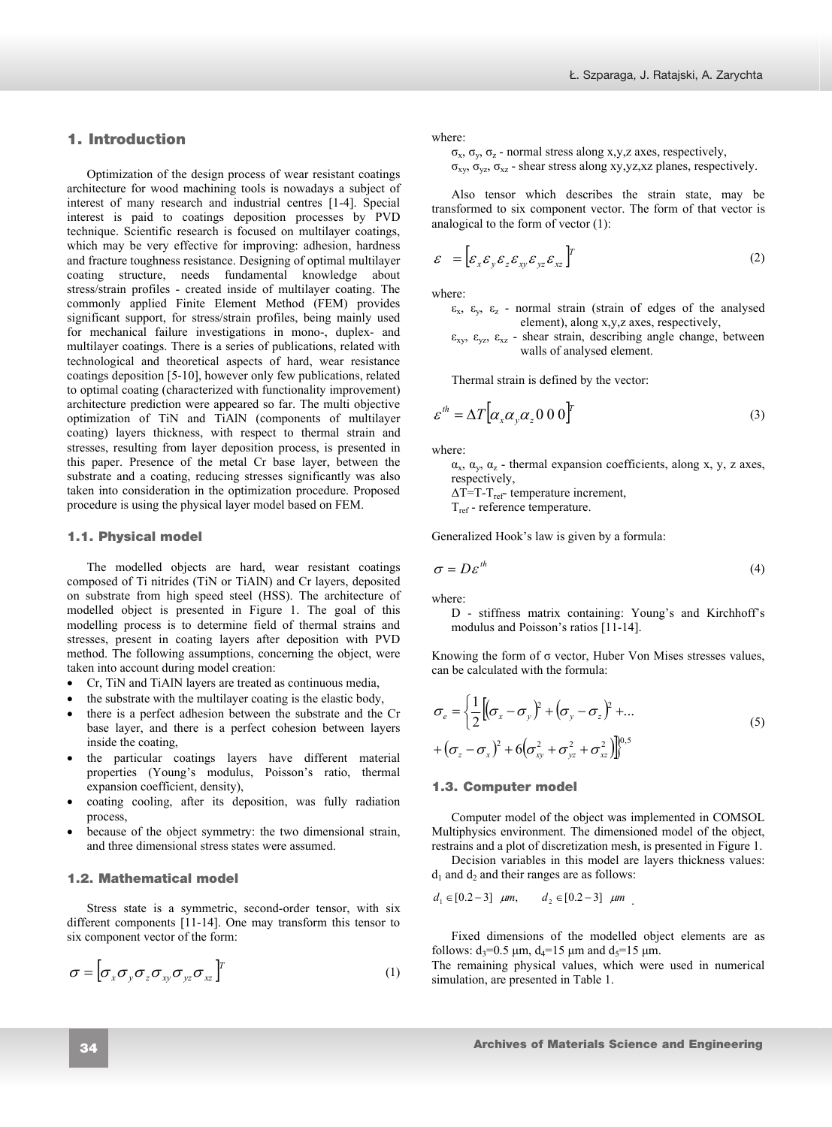## [Ł. Szparaga, J. Ratajski, A. Zarychta](http://www.archivesmse.org)

## **1. Introduction**  1. Introduction

Optimization of the design process of wear resistant coatings architecture for wood machining tools is nowadays a subject of interest of many research and industrial centres [1-4]. Special interest is paid to coatings deposition processes by PVD technique. Scientific research is focused on multilayer coatings, which may be very effective for improving: adhesion, hardness and fracture toughness resistance. Designing of optimal multilayer coating structure, needs fundamental knowledge about stress/strain profiles - created inside of multilayer coating. The commonly applied Finite Element Method (FEM) provides significant support, for stress/strain profiles, being mainly used for mechanical failure investigations in mono-, duplex- and multilayer coatings. There is a series of publications, related with technological and theoretical aspects of hard, wear resistance coatings deposition [5-10], however only few publications, related to optimal coating (characterized with functionality improvement) architecture prediction were appeared so far. The multi objective optimization of TiN and TiAlN (components of multilayer coating) layers thickness, with respect to thermal strain and stresses, resulting from layer deposition process, is presented in this paper. Presence of the metal Cr base layer, between the substrate and a coating, reducing stresses significantly was also taken into consideration in the optimization procedure. Proposed procedure is using the physical layer model based on FEM.

## **1.1. Physical model**  1.1. Physical model

The modelled objects are hard, wear resistant coatings composed of Ti nitrides (TiN or TiAlN) and Cr layers, deposited on substrate from high speed steel (HSS). The architecture of modelled object is presented in Figure 1. The goal of this modelling process is to determine field of thermal strains and stresses, present in coating layers after deposition with PVD method. The following assumptions, concerning the object, were taken into account during model creation:

- Cr, TiN and TiAlN layers are treated as continuous media,
- the substrate with the multilayer coating is the elastic body,
- there is a perfect adhesion between the substrate and the Cr base layer, and there is a perfect cohesion between layers inside the coating,
- the particular coatings layers have different material properties (Young's modulus, Poisson's ratio, thermal expansion coefficient, density),
- coating cooling, after its deposition, was fully radiation process,
- because of the object symmetry: the two dimensional strain, and three dimensional stress states were assumed.

## **1.2. Mathematical model**  1.2. Mathematical model

Stress state is a symmetric, second-order tensor, with six different components [11-14]. One may transform this tensor to six component vector of the form:

$$
\sigma = [\sigma_x \sigma_y \sigma_z \sigma_{xy} \sigma_{yz} \sigma_{xz}]^T
$$
 (1)

where:

 $\sigma_x$ ,  $\sigma_y$ ,  $\sigma_z$  - normal stress along x,y,z axes, respectively,

 $\sigma_{xy}$ ,  $\sigma_{yz}$ ,  $\sigma_{xz}$  - shear stress along xy,yz,xz planes, respectively.

Also tensor which describes the strain state, may be transformed to six component vector. The form of that vector is analogical to the form of vector (1):

$$
\varepsilon = \left[ \varepsilon_x \varepsilon_y \varepsilon_z \varepsilon_{xy} \varepsilon_{yz} \varepsilon_{xz} \right]^T
$$
 (2)

where:

- $\varepsilon_{x}$ ,  $\varepsilon_{y}$ ,  $\varepsilon_{z}$  normal strain (strain of edges of the analysed element), along x,y,z axes, respectively,
- $\varepsilon_{xy}$ ,  $\varepsilon_{yz}$ ,  $\varepsilon_{xz}$  shear strain, describing angle change, between walls of analysed element.

Thermal strain is defined by the vector:

$$
\varepsilon^{th} = \Delta T \big[ \alpha_x \alpha_y \alpha_z \, 0 \, 0 \, 0 \big]^T \tag{3}
$$

where:

 $\alpha_x$ ,  $\alpha_y$ ,  $\alpha_z$  - thermal expansion coefficients, along x, y, z axes, respectively,

 $\Delta T=T-T_{ref}$ - temperature increment,

Tref - reference temperature.

Generalized Hook's law is given by a formula:

$$
\sigma = D\varepsilon^{th} \tag{4}
$$

where:

D - stiffness matrix containing: Young's and Kirchhoff's modulus and Poisson's ratios [11-14].

Knowing the form of  $\sigma$  vector, Huber Von Mises stresses values, can be calculated with the formula:

$$
\sigma_e = \left\{ \frac{1}{2} \left[ (\sigma_x - \sigma_y)^2 + (\sigma_y - \sigma_z)^2 + \dots \right] \right\}
$$
  
+ 
$$
(\sigma_z - \sigma_x)^2 + 6 (\sigma_{xy}^2 + \sigma_{yz}^2 + \sigma_{xz}^2) \right]_0^{0.5}
$$
 (5)

## **1.3. Computer model**  1.3. Computer model

Computer model of the object was implemented in COMSOL Multiphysics environment. The dimensioned model of the object, restrains and a plot of discretization mesh, is presented in Figure 1.

Decision variables in this model are layers thickness values:  $d_1$  and  $d_2$  and their ranges are as follows:

$$
d_1 \in [0.2-3]
$$
  $\mu m$ ,  $d_2 \in [0.2-3]$   $\mu m$ 

Fixed dimensions of the modelled object elements are as follows:  $d_3 = 0.5 \mu m$ ,  $d_4 = 15 \mu m$  and  $d_5 = 15 \mu m$ .

The remaining physical values, which were used in numerical simulation, are presented in Table 1.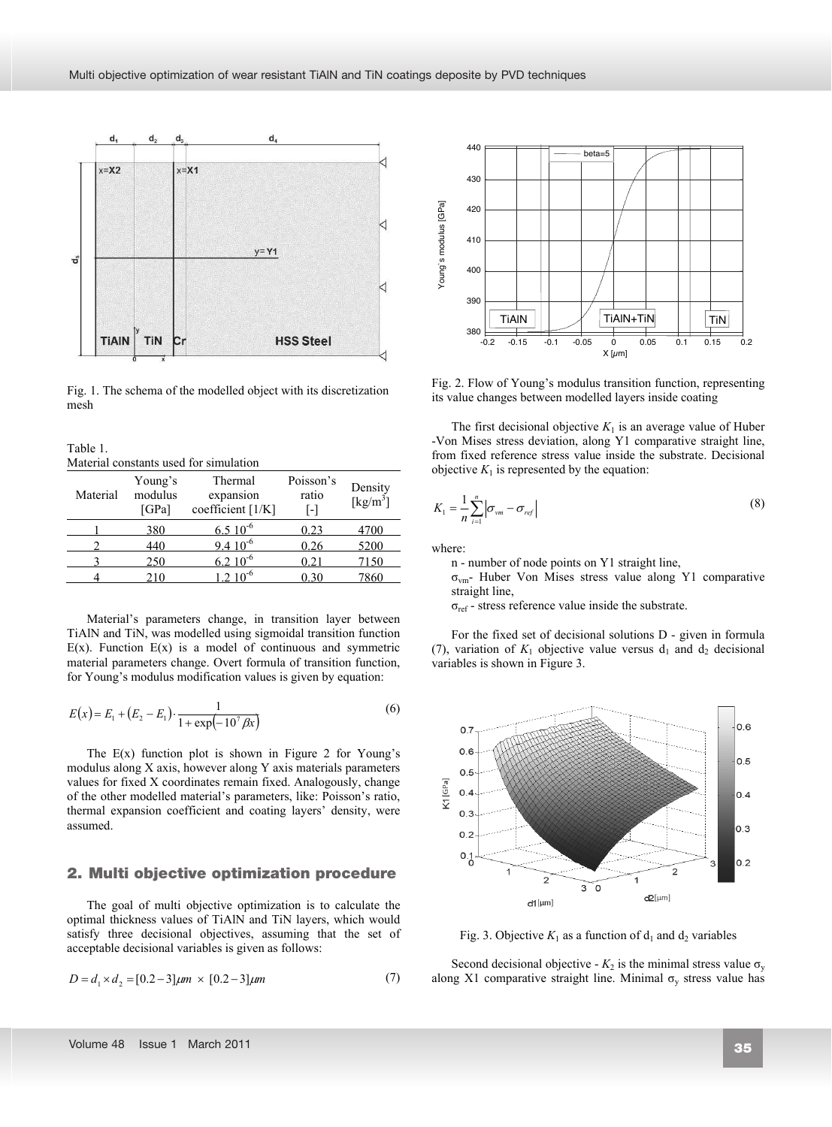

Fig. 1. The schema of the modelled object with its discretization mesh

Table 1. Material constants used for simulation

| Material | Young's<br>modulus<br>[GPa] | Thermal<br>expansion<br>coefficient [1/K] | Poisson's<br>ratio<br>$\mathsf{L}$ | Density<br>$\left[\mathrm{kg/m}^3\right]$ |
|----------|-----------------------------|-------------------------------------------|------------------------------------|-------------------------------------------|
|          | 380                         | $6.510^{-6}$                              | 0.23                               | 4700                                      |
|          | 440                         | $9.4~10^{-6}$                             | 0.26                               | 5200                                      |
|          | 250                         | $6.210^{-6}$                              | 0.21                               | 7150                                      |
|          | 210                         | $1.210^{-6}$                              | 0 30                               | 7860                                      |

Material's parameters change, in transition layer between TiAlN and TiN, was modelled using sigmoidal transition function  $E(x)$ . Function  $E(x)$  is a model of continuous and symmetric material parameters change. Overt formula of transition function, for Young's modulus modification values is given by equation:

$$
E(x) = E_1 + (E_2 - E_1) \cdot \frac{1}{1 + \exp(-10^7 \beta x)}
$$
(6)

The  $E(x)$  function plot is shown in Figure 2 for Young's modulus along X axis, however along Y axis materials parameters values for fixed X coordinates remain fixed. Analogously, change of the other modelled material's parameters, like: Poisson's ratio, thermal expansion coefficient and coating layers' density, were assumed.

## 2. Multi objective optimization procedure

The goal of multi objective optimization is to calculate the optimal thickness values of TiAlN and TiN layers, which would satisfy three decisional objectives, assuming that the set of acceptable decisional variables is given as follows:

$$
D = d_1 \times d_2 = [0.2 - 3] \mu m \times [0.2 - 3] \mu m \tag{7}
$$



Fig. 2. Flow of Young's modulus transition function, representing its value changes between modelled layers inside coating

The first decisional objective  $K_1$  is an average value of Huber -Von Mises stress deviation, along Y1 comparative straight line, from fixed reference stress value inside the substrate. Decisional objective  $K_1$  is represented by the equation:

$$
K_1 = \frac{1}{n} \sum_{i=1}^{n} \left| \sigma_{vm} - \sigma_{ref} \right| \tag{8}
$$

where:

n - number of node points on Y1 straight line,

 $\sigma_{\text{vm}}$ - Huber Von Mises stress value along Y1 comparative straight line,

 $\sigma_{\text{ref}}$  - stress reference value inside the substrate.

For the fixed set of decisional solutions D - given in formula (7), variation of  $K_1$  objective value versus  $d_1$  and  $d_2$  decisional variables is shown in Figure 3.



Fig. 3. Objective  $K_1$  as a function of  $d_1$  and  $d_2$  variables

Second decisional objective -  $K_2$  is the minimal stress value  $\sigma_v$ along X1 comparative straight line. Minimal  $\sigma_{v}$  stress value has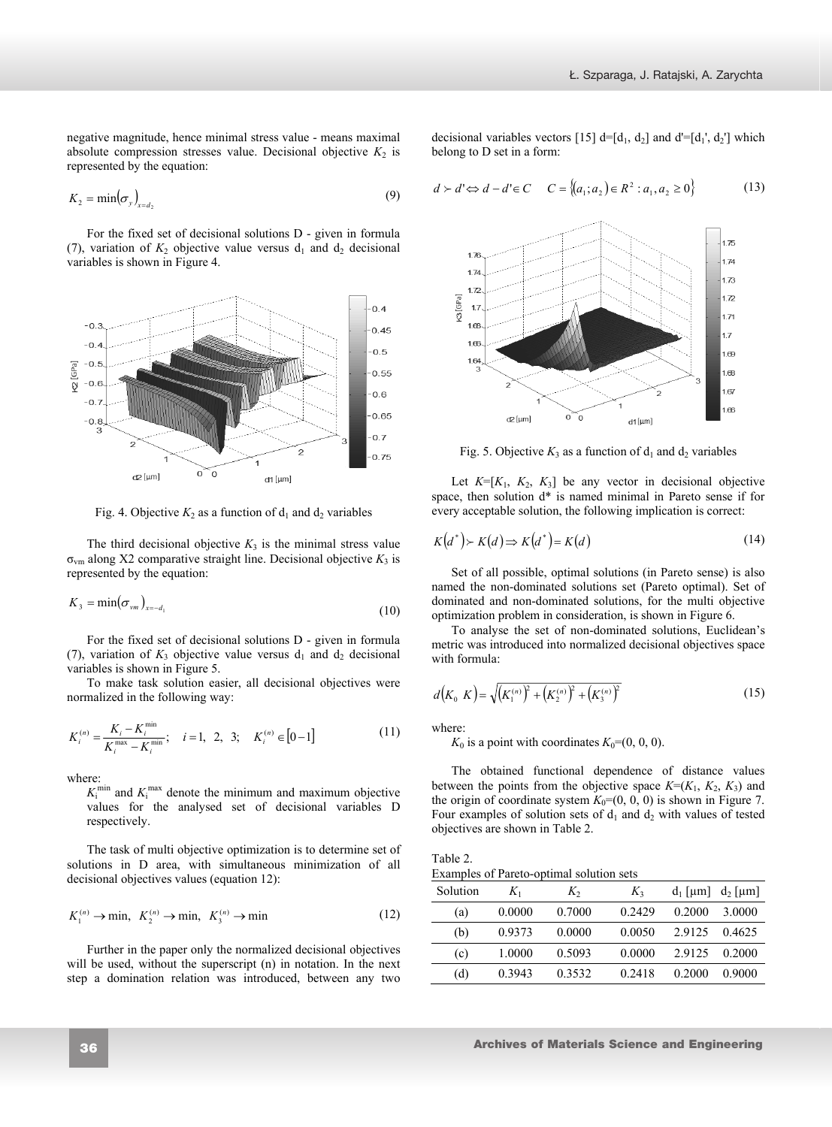negative magnitude, hence minimal stress value - means maximal absolute compression stresses value. Decisional objective  $K_2$  is represented by the equation:

$$
K_2 = \min(\sigma_y)_{x = d_2} \tag{9}
$$

For the fixed set of decisional solutions D - given in formula (7), variation of  $K_2$  objective value versus  $d_1$  and  $d_2$  decisional variables is shown in Figure 4.



Fig. 4. Objective  $K_2$  as a function of  $d_1$  and  $d_2$  variables

The third decisional objective  $K_3$  is the minimal stress value  $\sigma_{\text{vm}}$  along X2 comparative straight line. Decisional objective  $K_3$  is represented by the equation:

$$
K_3 = \min(\sigma_{\rm \nu m})_{x=-d_1} \tag{10}
$$

For the fixed set of decisional solutions D - given in formula (7), variation of  $K_3$  objective value versus  $d_1$  and  $d_2$  decisional variables is shown in Figure 5.

To make task solution easier, all decisional objectives were normalized in the following way:

$$
K_i^{(n)} = \frac{K_i - K_i^{\min}}{K_i^{\max} - K_i^{\min}}; \quad i = 1, 2, 3; \quad K_i^{(n)} \in [0 - 1]
$$
 (11)

where:

 $K_i^{\text{min}}$  and  $K_i^{\text{max}}$  denote the minimum and maximum objective values for the analysed set of decisional variables D respectively.

The task of multi objective optimization is to determine set of solutions in D area, with simultaneous minimization of all decisional objectives values (equation 12):

$$
K_1^{(n)} \to \min, \ K_2^{(n)} \to \min, \ K_3^{(n)} \to \min
$$
 (12)

Further in the paper only the normalized decisional objectives will be used, without the superscript (n) in notation. In the next step a domination relation was introduced, between any two decisional variables vectors [15]  $d=[d_1, d_2]$  and  $d'=[d_1', d_2']$  which belong to D set in a form:

$$
d \succ d' \Leftrightarrow d - d' \in C \qquad C = \{(a_1; a_2) \in R^2 : a_1, a_2 \ge 0\}
$$
 (13)



Fig. 5. Objective  $K_3$  as a function of  $d_1$  and  $d_2$  variables

Let  $K=[K_1, K_2, K_3]$  be any vector in decisional objective space, then solution d\* is named minimal in Pareto sense if for every acceptable solution, the following implication is correct:

$$
K(d^*) \succ K(d) \Longrightarrow K(d^*) = K(d) \tag{14}
$$

Set of all possible, optimal solutions (in Pareto sense) is also named the non-dominated solutions set (Pareto optimal). Set of dominated and non-dominated solutions, for the multi objective optimization problem in consideration, is shown in Figure 6.

To analyse the set of non-dominated solutions, Euclidean's metric was introduced into normalized decisional objectives space with formula:

$$
d(K_0 K) = \sqrt{\left(K_1^{(n)}\right)^2 + \left(K_2^{(n)}\right)^2 + \left(K_3^{(n)}\right)^2}
$$
\n(15)

where:

 $K_0$  is a point with coordinates  $K_0=(0, 0, 0)$ .

The obtained functional dependence of distance values between the points from the objective space  $K=(K_1, K_2, K_3)$  and the origin of coordinate system  $K_0=(0, 0, 0)$  is shown in Figure 7. Four examples of solution sets of  $d_1$  and  $d_2$  with values of tested objectives are shown in Table 2.

Table 2. Examples of Pareto-optimal solution sets

| Solution | $K_1$  | $K_{2}$ | $K_3$  | $d_1$ [µm] $d_2$ [µm] |         |
|----------|--------|---------|--------|-----------------------|---------|
| (a)      | 0.0000 | 0.7000  | 0.2429 | 0.2000                | 3.0000  |
| (b)      | 0.9373 | 0.0000  | 0.0050 | 2.9125 0.4625         |         |
| (c)      | 1.0000 | 0.5093  | 0.0000 | 2.9125                | -0.2000 |
| (d)      | 0.3943 | 0.3532  | 0.2418 | 0.2000                | 0.9000  |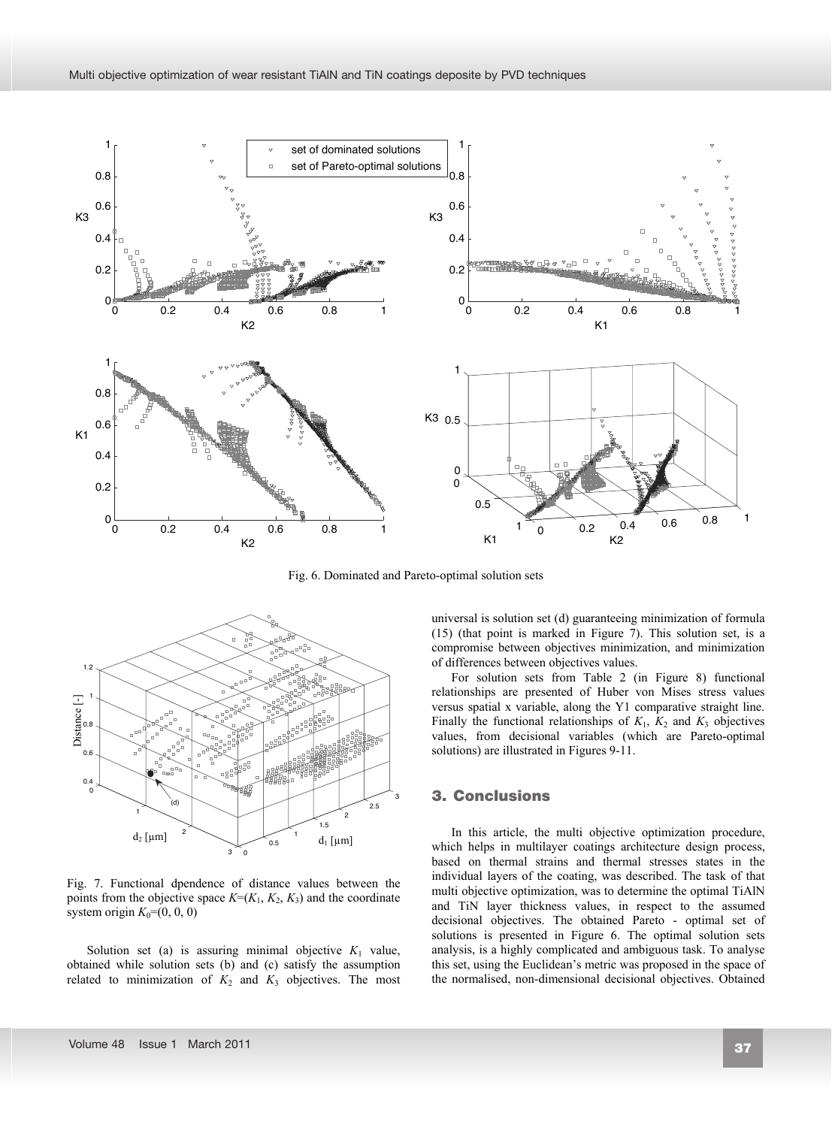

Fig. 6. Dominated and Pareto-optimal solution sets



Fig. 7. Functional dpendence of distance values between the points from the objective space  $K=(K_1, K_2, K_3)$  and the coordinate system origin  $K_0=(0, 0, 0)$ 

Solution set (a) is assuring minimal objective  $K_1$  value, obtained while solution sets (b) and (c) satisfy the assumption related to minimization of  $K_2$  and  $K_3$  objectives. The most universal is solution set (d) guaranteeing minimization of formula (15) (that point is marked in Figure 7). This solution set, is a compromise between objectives minimization, and minimization of differences between objectives values.

For solution sets from Table 2 (in Figure 8) functional relationships are presented of Huber von Mises stress values versus spatial x variable, along the Y1 comparative straight line. Finally the functional relationships of  $K_1$ ,  $K_2$  and  $K_3$  objectives values, from decisional variables (which are Pareto-optimal solutions) are illustrated in Figures 9-11.

# **3. Conclusions**  3. Conclusions

In this article, the multi objective optimization procedure, which helps in multilayer coatings architecture design process, based on thermal strains and thermal stresses states in the individual layers of the coating, was described. The task of that multi objective optimization, was to determine the optimal TiAlN and TiN layer thickness values, in respect to the assumed decisional objectives. The obtained Pareto - optimal set of solutions is presented in Figure 6. The optimal solution sets analysis, is a highly complicated and ambiguous task. To analyse this set, using the Euclidean's metric was proposed in the space of the normalised, non-dimensional decisional objectives. Obtained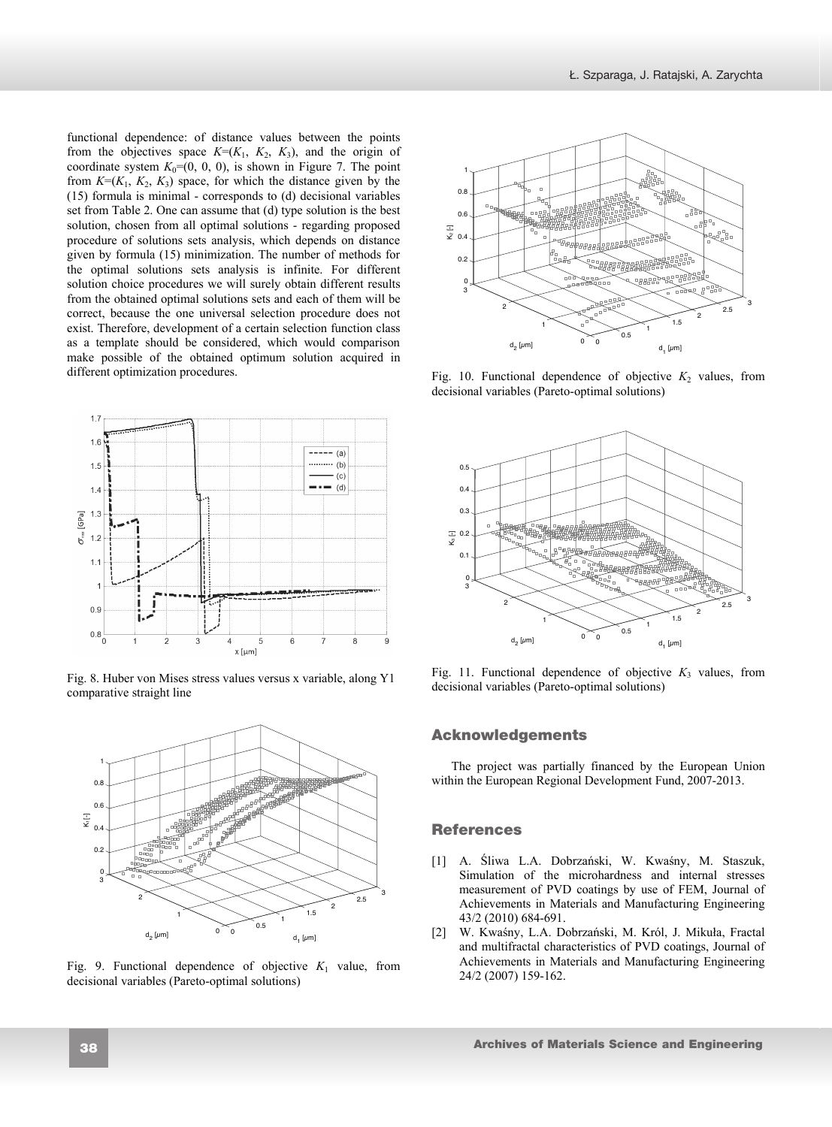functional dependence: of distance values between the points from the objectives space  $K=(K_1, K_2, K_3)$ , and the origin of coordinate system  $K_0=(0, 0, 0)$ , is shown in Figure 7. The point from  $K=(K_1, K_2, K_3)$  space, for which the distance given by the (15) formula is minimal - corresponds to (d) decisional variables set from Table 2. One can assume that (d) type solution is the best solution, chosen from all optimal solutions - regarding proposed procedure of solutions sets analysis, which depends on distance given by formula (15) minimization. The number of methods for the optimal solutions sets analysis is infinite. For different solution choice procedures we will surely obtain different results from the obtained optimal solutions sets and each of them will be correct, because the one universal selection procedure does not exist. Therefore, development of a certain selection function class as a template should be considered, which would comparison make possible of the obtained optimum solution acquired in different optimization procedures.



Fig. 8. Huber von Mises stress values versus x variable, along Y1 comparative straight line



Fig. 9. Functional dependence of objective  $K_1$  value, from decisional variables (Pareto-optimal solutions)



Fig. 10. Functional dependence of objective  $K_2$  values, from decisional variables (Pareto-optimal solutions)



Fig. 11. Functional dependence of objective  $K_3$  values, from decisional variables (Pareto-optimal solutions)

## **Acknowledgements**  Acknowledgements

The project was partially financed by the European Union within the European Regional Development Fund, 2007-2013.

## **References**  References

- [1] A. Śliwa L.A. Dobrzański, W. Kwaśny, M. Staszuk, Simulation of the microhardness and internal stresses measurement of PVD coatings by use of FEM, Journal of Achievements in Materials and Manufacturing Engineering 43/2 (2010) 684-691.
- [2] W. Kwaśny, L.A. Dobrzański, M. Król, J. Mikuła, Fractal and multifractal characteristics of PVD coatings, Journal of Achievements in Materials and Manufacturing Engineering 24/2 (2007) 159-162.